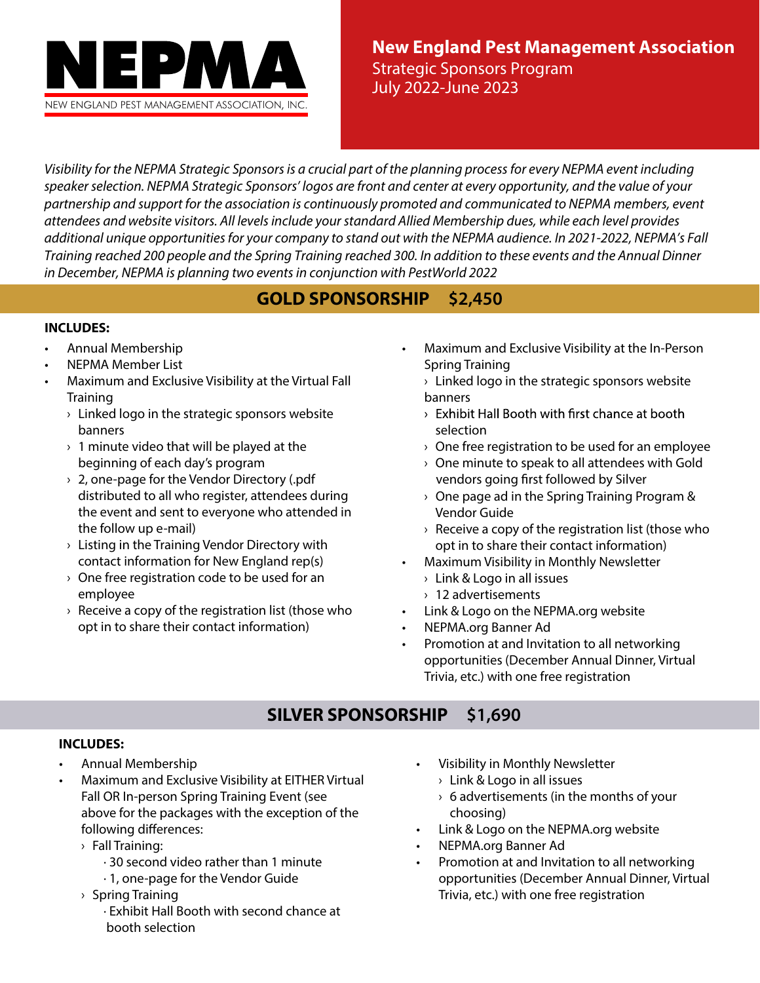

**New England Pest Management Association** Strategic Sponsors Program July 2022-June 2023

Visibility for the NEPMA Strategic Sponsors is a crucial part of the planning process for every NEPMA event including speaker selection. NEPMA Strategic Sponsors' logos are front and center at every opportunity, and the value of your partnership and support for the association is continuously promoted and communicated to NEPMA members, event attendees and website visitors. All levels include your standard Allied Membership dues, while each level provides additional unique opportunities for your company to stand out with the NEPMA audience. In 2021-2022, NEPMA's Fall Training reached 200 people and the Spring Training reached 300. In addition to these events and the Annual Dinner in December, NEPMA is planning two events in conjunction with PestWorld 2022

## **GOLD SPONSORSHIP \$2,450**

#### **INCLUDES:**

- Annual Membership
- NEPMA Member List
- Maximum and Exclusive Visibility at the Virtual Fall **Training** 
	- $\rightarrow$  Linked logo in the strategic sponsors website banners
	- $\rightarrow$  1 minute video that will be played at the beginning of each day's program
	- $\rightarrow$  2, one-page for the Vendor Directory (.pdf distributed to all who register, attendees during the event and sent to everyone who attended in the follow up e-mail)
	- › Listing in the Training Vendor Directory with contact information for New England rep(s)
	- $\rightarrow$  One free registration code to be used for an employee
	- $\rightarrow$  Receive a copy of the registration list (those who opt in to share their contact information)
- Maximum and Exclusive Visibility at the In-Person Spring Training
	- $\rightarrow$  Linked logo in the strategic sponsors website banners
	- $\rightarrow$  Exhibit Hall Booth with first chance at booth selection
	- $\rightarrow$  One free registration to be used for an employee
	- $\rightarrow$  One minute to speak to all attendees with Gold vendors going first followed by Silver
	- $\rightarrow$  One page ad in the Spring Training Program & Vendor Guide
	- $\rightarrow$  Receive a copy of the registration list (those who opt in to share their contact information)
- Maximum Visibility in Monthly Newsletter
	- › Link & Logo in all issues
	- › 12 advertisements
- Link & Logo on the NEPMA.org website
- NEPMA.org Banner Ad
- Promotion at and Invitation to all networking opportunities (December Annual Dinner, Virtual Trivia, etc.) with one free registration

# **SILVER SPONSORSHIP \$1,690**

#### **INCLUDES:**

- Annual Membership
- Maximum and Exclusive Visibility at EITHER Virtual Fall OR In-person Spring Training Event (see above for the packages with the exception of the following differences:
	- › Fall Training:
		- · 30 second video rather than 1 minute
		- · 1, one-page for the Vendor Guide
	- › Spring Training
		- · Exhibit Hall Booth with second chance at booth selection
- Visibility in Monthly Newsletter
	- › Link & Logo in all issues
	- $\rightarrow$  6 advertisements (in the months of your choosing)
- Link & Logo on the NEPMA.org website
- NEPMA.org Banner Ad
- Promotion at and Invitation to all networking opportunities (December Annual Dinner, Virtual Trivia, etc.) with one free registration